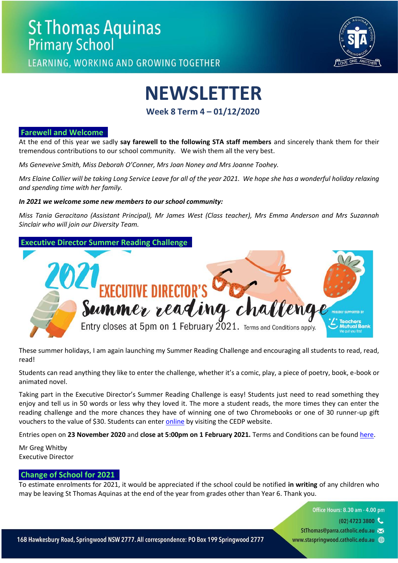

LEARNING, WORKING AND GROWING TOGETHER

# **NEWSLETTER**

**Week 8 Term 4 – 01/12/2020**

#### **Farewell and Welcome**

At the end of this year we sadly **say farewell to the following STA staff members** and sincerely thank them for their tremendous contributions to our school community. We wish them all the very best.

*Ms Geneveive Smith, Miss Deborah O'Conner, Mrs Joan Noney and Mrs Joanne Toohey.* 

*Mrs Elaine Collier will be taking Long Service Leave for all of the year 2021. We hope she has a wonderful holiday relaxing and spending time with her family.* 

#### *In 2021 we welcome some new members to our school community:*

*Miss Tania Geracitano (Assistant Principal), Mr James West (Class teacher), Mrs Emma Anderson and Mrs Suzannah Sinclair who will join our Diversity Team.* 



These summer holidays, I am again launching my Summer Reading Challenge and encouraging all students to read, read, read!

Students can read anything they like to enter the challenge, whether it's a comic, play, a piece of poetry, book, e-book or animated novel.

Taking part in the Executive Director's Summer Reading Challenge is easy! Students just need to read something they enjoy and tell us in 50 words or less why they loved it. The more a student reads, the more times they can enter the reading challenge and the more chances they have of winning one of two Chromebooks or one of 30 runner-up gift vouche[r](https://www.parra.catholic.edu.au/2020EDRC)s to the value of \$30. Students can enter [online](https://www.parra.catholic.edu.au/2020EDRC) by visiting the CEDP website.

Entries open on **23 November 2020** and **close at 5:00pm on 1 February 2021.** Terms and Conditions can be found [here.](https://docs.google.com/document/d/1wnVNbxLBVKI2uRae2LNIf4h7N1tlxgczClk_8ocu4t0/edit?usp=sharing)

Mr Greg Whitby Executive Director

#### **Change of School for 2021**

To estimate enrolments for 2021, it would be appreciated if the school could be notified **in writing** of any children who may be leaving St Thomas Aquinas at the end of the year from grades other than Year 6. Thank you.

- Office Hours: 8.30 am 4.00 pm
	- $(02)$  4723 3800
- StThomas@parra.catholic.edu.au
- www.staspringwood.catholic.edu.au (+)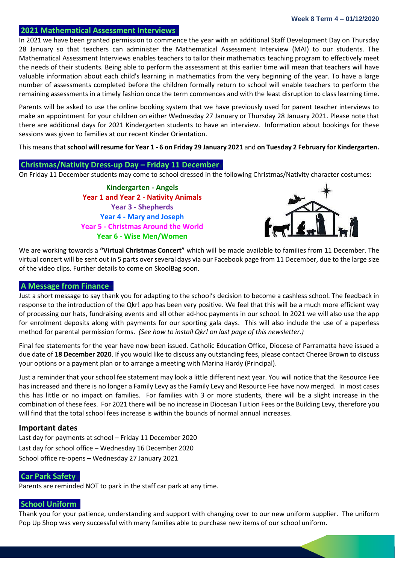#### **2021 Mathematical Assessment Interviews**

In 2021 we have been granted permission to commence the year with an additional Staff Development Day on Thursday 28 January so that teachers can administer the Mathematical Assessment Interview (MAI) to our students. The Mathematical Assessment Interviews enables teachers to tailor their mathematics teaching program to effectively meet the needs of their students. Being able to perform the assessment at this earlier time will mean that teachers will have valuable information about each child's learning in mathematics from the very beginning of the year. To have a large number of assessments completed before the children formally return to school will enable teachers to perform the remaining assessments in a timely fashion once the term commences and with the least disruption to class learning time.

Parents will be asked to use the online booking system that we have previously used for parent teacher interviews to make an appointment for your children on either Wednesday 27 January or Thursday 28 January 2021. Please note that there are additional days for 2021 Kindergarten students to have an interview. Information about bookings for these sessions was given to families at our recent Kinder Orientation.

This means that **school will resume for Year 1 - 6 on Friday 29 January 2021** and **on Tuesday 2 February for Kindergarten.**

#### **Christmas/Nativity Dress-up Day – Friday 11 Decembery**

On Friday 11 December students may come to school dressed in the following Christmas/Nativity character costumes:

**Kindergarten - Angels Year 1 and Year 2 - Nativity Animals Year 3 - Shepherds Year 4 - Mary and Joseph Year 5 - Christmas Around the World Year 6 - Wise Men/Women**



We are working towards a **"Virtual Christmas Concert"** which will be made available to families from 11 December. The virtual concert will be sent out in 5 parts over several days via our Facebook page from 11 December, due to the large size of the video clips. Further details to come on SkoolBag soon.

#### **A Message from Finance**

Just a short message to say thank you for adapting to the school's decision to become a cashless school. The feedback in response to the introduction of the Qkr! app has been very positive. We feel that this will be a much more efficient way of processing our hats, fundraising events and all other ad-hoc payments in our school. In 2021 we will also use the app for enrolment deposits along with payments for our sporting gala days. This will also include the use of a paperless method for parental permission forms. *(See how to install Qkr! on last page of this newsletter.)*

Final fee statements for the year have now been issued. Catholic Education Office, Diocese of Parramatta have issued a due date of **18 December 2020**. If you would like to discuss any outstanding fees, please contact Cheree Brown to discuss your options or a payment plan or to arrange a meeting with Marina Hardy (Principal).

Just a reminder that your school fee statement may look a little different next year. You will notice that the Resource Fee has increased and there is no longer a Family Levy as the Family Levy and Resource Fee have now merged. In most cases this has little or no impact on families. For families with 3 or more students, there will be a slight increase in the combination of these fees. For 2021 there will be no increase in Diocesan Tuition Fees or the Building Levy, therefore you will find that the total school fees increase is within the bounds of normal annual increases.

#### **Important dates**

Last day for payments at school – Friday 11 December 2020 Last day for school office – Wednesday 16 December 2020 School office re-opens – Wednesday 27 January 2021

#### **Car Park Safety**

Parents are reminded NOT to park in the staff car park at any time.

### **School Uniforms**

Thank you for your patience, understanding and support with changing over to our new uniform supplier. The uniform Pop Up Shop was very successful with many families able to purchase new items of our school uniform.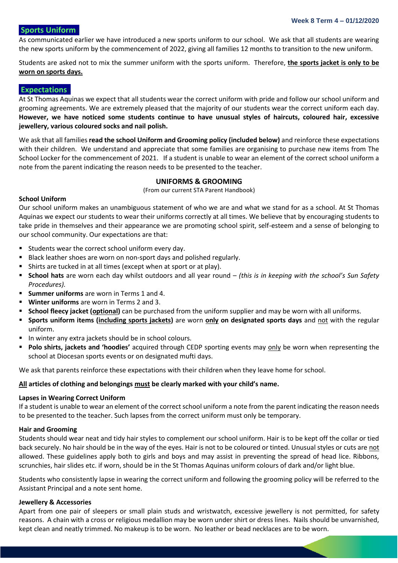#### **Sports Uniforms**

As communicated earlier we have introduced a new sports uniform to our school. We ask that all students are wearing the new sports uniform by the commencement of 2022, giving all families 12 months to transition to the new uniform.

Students are asked not to mix the summer uniform with the sports uniform. Therefore, **the sports jacket is only to be worn on sports days.** 

#### **Expectations**

At St Thomas Aquinas we expect that all students wear the correct uniform with pride and follow our school uniform and grooming agreements. We are extremely pleased that the majority of our students wear the correct uniform each day. **However, we have noticed some students continue to have unusual styles of haircuts, coloured hair, excessive jewellery, various coloured socks and nail polish.** 

We ask that all families **read the school Uniform and Grooming policy (included below)** and reinforce these expectations with their children. We understand and appreciate that some families are organising to purchase new items from The School Locker for the commencement of 2021. If a student is unable to wear an element of the correct school uniform a note from the parent indicating the reason needs to be presented to the teacher.

#### **UNIFORMS & GROOMING**

(From our current STA Parent Handbook)

#### **School Uniform**

Our school uniform makes an unambiguous statement of who we are and what we stand for as a school. At St Thomas Aquinas we expect our students to wear their uniforms correctly at all times. We believe that by encouraging students to take pride in themselves and their appearance we are promoting school spirit, self-esteem and a sense of belonging to our school community. Our expectations are that:

- Students wear the correct school uniform every day.
- Black leather shoes are worn on non-sport days and polished regularly.
- Shirts are tucked in at all times (except when at sport or at play).
- **School hats** are worn each day whilst outdoors and all year round *(this is in keeping with the school's Sun Safety Procedures).*
- **Summer uniforms** are worn in Terms 1 and 4.
- **Winter uniforms** are worn in Terms 2 and 3.
- **EXTED School fleecy jacket (optional)** can be purchased from the uniform supplier and may be worn with all uniforms.
- **Sports uniform items (including sports jackets)** are worn **only on designated sports days** and not with the regular uniform.
- In winter any extra jackets should be in school colours.
- **Polo shirts, jackets and 'hoodies'** acquired through CEDP sporting events may only be worn when representing the school at Diocesan sports events or on designated mufti days.

We ask that parents reinforce these expectations with their children when they leave home for school.

#### **All articles of clothing and belongings must be clearly marked with your child's name.**

#### **Lapses in Wearing Correct Uniform**

If a student is unable to wear an element of the correct school uniform a note from the parent indicating the reason needs to be presented to the teacher. Such lapses from the correct uniform must only be temporary.

#### **Hair and Grooming**

Students should wear neat and tidy hair styles to complement our school uniform. Hair is to be kept off the collar or tied back securely. No hair should be in the way of the eyes. Hair is not to be coloured or tinted. Unusual styles or cuts are not allowed. These guidelines apply both to girls and boys and may assist in preventing the spread of head lice. Ribbons, scrunchies, hair slides etc. if worn, should be in the St Thomas Aquinas uniform colours of dark and/or light blue.

Students who consistently lapse in wearing the correct uniform and following the grooming policy will be referred to the Assistant Principal and a note sent home.

#### **Jewellery & Accessories**

Apart from one pair of sleepers or small plain studs and wristwatch, excessive jewellery is not permitted, for safety reasons. A chain with a cross or religious medallion may be worn under shirt or dress lines. Nails should be unvarnished, kept clean and neatly trimmed. No makeup is to be worn. No leather or bead necklaces are to be worn.